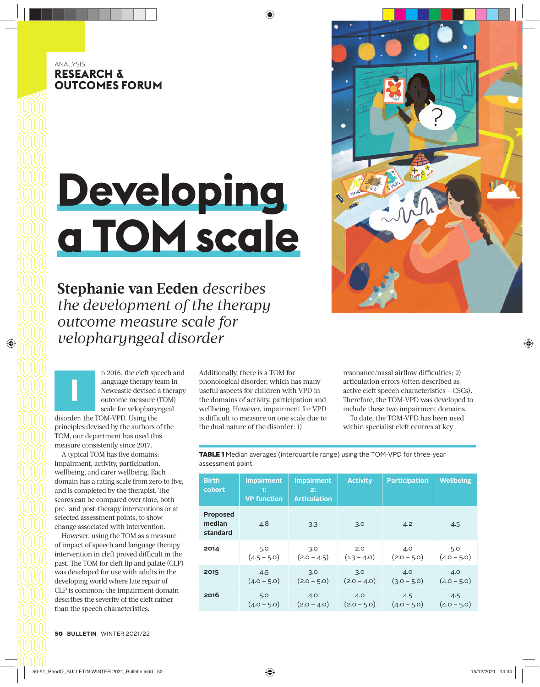# ANALYSIS **RESEARCH & OUTCOMES FORUM**

# **Developing a TOM scale**

**Stephanie van Eeden** *describes the development of the therapy outcome measure scale for velopharyngeal disorder* 

> n 2016, the cleft speech and language therapy team in Newcastle devised a therapy outcome measure (TOM) scale for velopharyngeal

disorder: the TOM-VPD. Using the principles devised by the authors of the TOM, our department has used this measure consistently since 2017.

**I**

A typical TOM has five domains: impairment, activity, participation, wellbeing, and carer wellbeing. Each domain has a rating scale from zero to five, and is completed by the therapist. The scores can be compared over time, both pre- and post-therapy interventions or at selected assessment points, to show change associated with intervention.

However, using the TOM as a measure of impact of speech and language therapy intervention in cleft proved difficult in the past. The TOM for cleft lip and palate (CLP) was developed for use with adults in the developing world where late repair of CLP is common; the impairment domain describes the severity of the cleft rather than the speech characteristics.

Additionally, there is a TOM for phonological disorder, which has many useful aspects for children with VPD in the domains of activity, participation and wellbeing. However, impairment for VPD is difficult to measure on one scale due to the dual nature of the disorder: 1)

resonance/nasal airflow difficulties: 2) articulation errors (often described as active cleft speech characteristics – CSCs). Therefore, the TOM-VPD was developed to include these two impairment domains.

To date, the TOM-VPD has been used within specialist cleft centres at key

| <b>Birth</b><br>cohort                | <b>Impairment</b><br>11<br><b>VP</b> function | <b>Impairment</b><br>2:<br><b>Articulation</b> | <b>Activity</b> | <b>Participation</b> | <b>Wellbeing</b> |
|---------------------------------------|-----------------------------------------------|------------------------------------------------|-----------------|----------------------|------------------|
| <b>Proposed</b><br>median<br>standard | 4.8                                           | 3.3                                            | 3.0             | 4.2                  | 4.5              |
| 2014                                  | 5.0                                           | 3.0                                            | 2.0             | 4.0                  | 5.0              |
|                                       | $(4.5 - 5.0)$                                 | $(2.0 - 4.5)$                                  | $(1.3 - 4.0)$   | $(2.0 - 5.0)$        | $(4.0 - 5.0)$    |
| 2015                                  | 4.5                                           | 3.0                                            | 3.0             | 4.0                  | 4.0              |
|                                       | $(4.0 - 5.0)$                                 | $(2.0 - 5.0)$                                  | $(2.0 - 4.0)$   | $(3.0 - 5.0)$        | $(4.0 - 5.0)$    |
| 2016                                  | 5.0                                           | 4.0                                            | 4.0             | 4.5                  | 4.5              |
|                                       | $(4.0 - 5.0)$                                 | $(2.0 - 4.0)$                                  | $(2.0 - 5.0)$   | $(4.0 - 5.0)$        | $(4.0 - 5.0)$    |

TABLE 1 Median averages (interquartile range) using the TOM-VPD for three-year assessment point